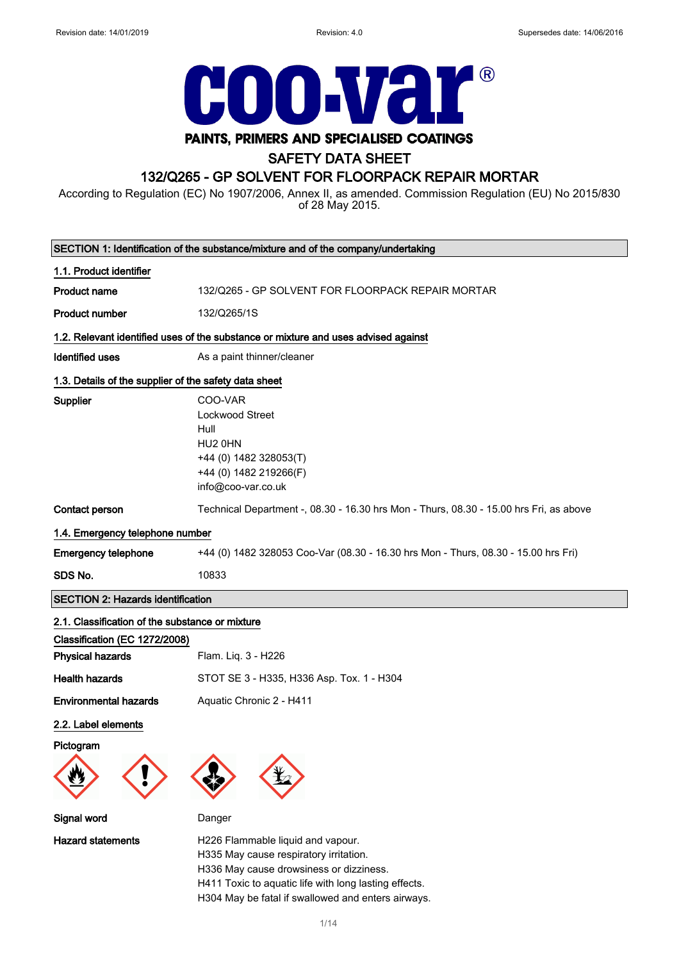

# PAINTS, PRIMERS AND SPECIALISED COATINGS

# SAFETY DATA SHEET

# 132/Q265 - GP SOLVENT FOR FLOORPACK REPAIR MORTAR

According to Regulation (EC) No 1907/2006, Annex II, as amended. Commission Regulation (EU) No 2015/830 of 28 May 2015.

| SECTION 1: Identification of the substance/mixture and of the company/undertaking |                                                                                                                         |  |
|-----------------------------------------------------------------------------------|-------------------------------------------------------------------------------------------------------------------------|--|
| 1.1. Product identifier                                                           |                                                                                                                         |  |
| <b>Product name</b>                                                               | 132/Q265 - GP SOLVENT FOR FLOORPACK REPAIR MORTAR                                                                       |  |
| <b>Product number</b>                                                             | 132/Q265/1S                                                                                                             |  |
|                                                                                   | 1.2. Relevant identified uses of the substance or mixture and uses advised against                                      |  |
| <b>Identified uses</b>                                                            | As a paint thinner/cleaner                                                                                              |  |
| 1.3. Details of the supplier of the safety data sheet                             |                                                                                                                         |  |
| Supplier                                                                          | COO-VAR<br>Lockwood Street<br>Hull<br>HU2 0HN<br>+44 (0) 1482 328053(T)<br>+44 (0) 1482 219266(F)<br>info@coo-var.co.uk |  |
| Contact person                                                                    | Technical Department -, 08.30 - 16.30 hrs Mon - Thurs, 08.30 - 15.00 hrs Fri, as above                                  |  |
| 1.4. Emergency telephone number                                                   |                                                                                                                         |  |
| <b>Emergency telephone</b>                                                        | +44 (0) 1482 328053 Coo-Var (08.30 - 16.30 hrs Mon - Thurs, 08.30 - 15.00 hrs Fri)                                      |  |
| SDS No.                                                                           | 10833                                                                                                                   |  |
| <b>SECTION 2: Hazards identification</b>                                          |                                                                                                                         |  |
| 2.1. Classification of the substance or mixture<br>Classification (EC 1272/2008)  |                                                                                                                         |  |
| <b>Physical hazards</b>                                                           | Flam. Liq. 3 - H226                                                                                                     |  |
| <b>Health hazards</b>                                                             | STOT SE 3 - H335, H336 Asp. Tox. 1 - H304                                                                               |  |
| <b>Environmental hazards</b>                                                      | Aquatic Chronic 2 - H411                                                                                                |  |
| 2.2. Label elements                                                               |                                                                                                                         |  |
| Pictogram                                                                         |                                                                                                                         |  |
| Signal word                                                                       | Danger                                                                                                                  |  |
| <b>Hazard statements</b>                                                          | H226 Flammable liquid and vapour.<br>H335 May cause respiratory irritation.<br>H336 May cause drowsiness or dizziness.  |  |

H411 Toxic to aquatic life with long lasting effects. H304 May be fatal if swallowed and enters airways.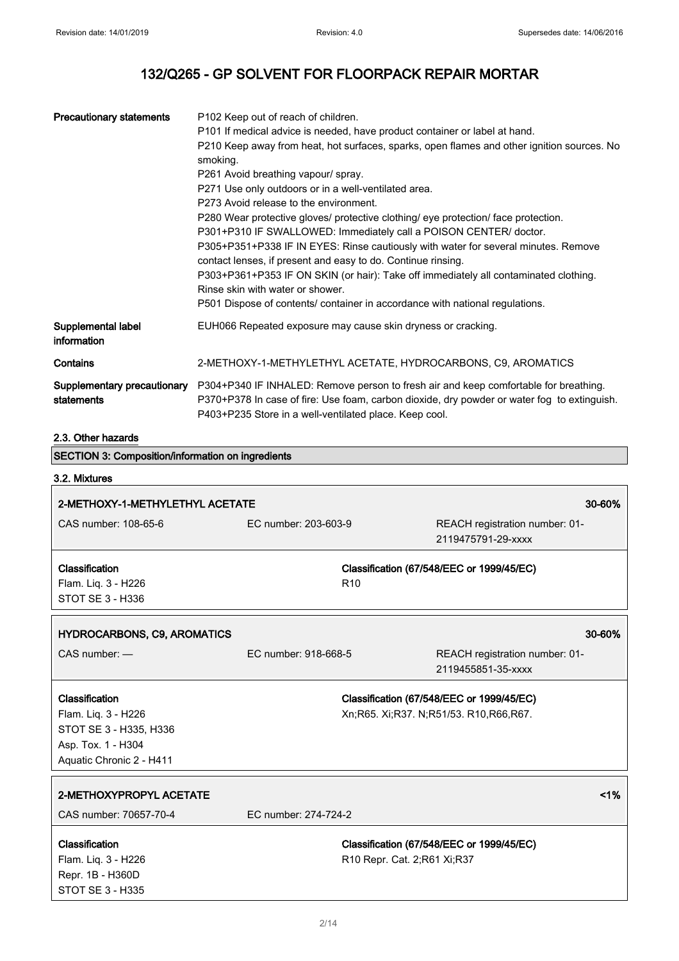| <b>Precautionary statements</b>                          | P102 Keep out of reach of children.                                                |                                                                                             |
|----------------------------------------------------------|------------------------------------------------------------------------------------|---------------------------------------------------------------------------------------------|
|                                                          | P101 If medical advice is needed, have product container or label at hand.         |                                                                                             |
|                                                          |                                                                                    | P210 Keep away from heat, hot surfaces, sparks, open flames and other ignition sources. No  |
|                                                          | smoking.                                                                           |                                                                                             |
|                                                          | P261 Avoid breathing vapour/ spray.                                                |                                                                                             |
|                                                          | P271 Use only outdoors or in a well-ventilated area.                               |                                                                                             |
|                                                          | P273 Avoid release to the environment.                                             |                                                                                             |
|                                                          | P280 Wear protective gloves/ protective clothing/ eye protection/ face protection. |                                                                                             |
|                                                          | P301+P310 IF SWALLOWED: Immediately call a POISON CENTER/ doctor.                  |                                                                                             |
|                                                          |                                                                                    | P305+P351+P338 IF IN EYES: Rinse cautiously with water for several minutes. Remove          |
|                                                          | contact lenses, if present and easy to do. Continue rinsing.                       |                                                                                             |
|                                                          | Rinse skin with water or shower.                                                   | P303+P361+P353 IF ON SKIN (or hair): Take off immediately all contaminated clothing.        |
|                                                          | P501 Dispose of contents/ container in accordance with national regulations.       |                                                                                             |
| Supplemental label<br>information                        | EUH066 Repeated exposure may cause skin dryness or cracking.                       |                                                                                             |
| Contains                                                 | 2-METHOXY-1-METHYLETHYL ACETATE, HYDROCARBONS, C9, AROMATICS                       |                                                                                             |
| Supplementary precautionary                              |                                                                                    | P304+P340 IF INHALED: Remove person to fresh air and keep comfortable for breathing.        |
| statements                                               | P403+P235 Store in a well-ventilated place. Keep cool.                             | P370+P378 In case of fire: Use foam, carbon dioxide, dry powder or water fog to extinguish. |
| 2.3. Other hazards                                       |                                                                                    |                                                                                             |
| <b>SECTION 3: Composition/information on ingredients</b> |                                                                                    |                                                                                             |
| 3.2. Mixtures                                            |                                                                                    |                                                                                             |
|                                                          |                                                                                    |                                                                                             |
| 2-METHOXY-1-METHYLETHYL ACETATE                          |                                                                                    | 30-60%                                                                                      |
| CAS number: 108-65-6                                     | EC number: 203-603-9                                                               | REACH registration number: 01-                                                              |
|                                                          |                                                                                    | 2119475791-29-xxxx                                                                          |
| Classification                                           |                                                                                    | Classification (67/548/EEC or 1999/45/EC)                                                   |
| Flam. Liq. 3 - H226                                      | R <sub>10</sub>                                                                    |                                                                                             |
| STOT SE 3 - H336                                         |                                                                                    |                                                                                             |
| <b>HYDROCARBONS, C9, AROMATICS</b>                       |                                                                                    | 30-60%                                                                                      |
|                                                          |                                                                                    |                                                                                             |
| CAS number: -                                            | EC number: 918-668-5                                                               | REACH registration number: 01-<br>2119455851-35-xxxx                                        |
|                                                          |                                                                                    |                                                                                             |
| Classification                                           |                                                                                    | Classification (67/548/EEC or 1999/45/EC)                                                   |

Flam. Liq. 3 - H226 STOT SE 3 - H335, H336 Asp. Tox. 1 - H304 Aquatic Chronic 2 - H411

| 2-METHOXYPROPYL ACETATE |                                           | $1\%$ |
|-------------------------|-------------------------------------------|-------|
| CAS number: 70657-70-4  | EC number: 274-724-2                      |       |
| <b>Classification</b>   | Classification (67/548/EEC or 1999/45/EC) |       |
|                         |                                           |       |
| Flam. Liq. 3 - H226     | R10 Repr. Cat. 2;R61 Xi;R37               |       |
| Repr. 1B - H360D        |                                           |       |

Xn;R65. Xi;R37. N;R51/53. R10,R66,R67.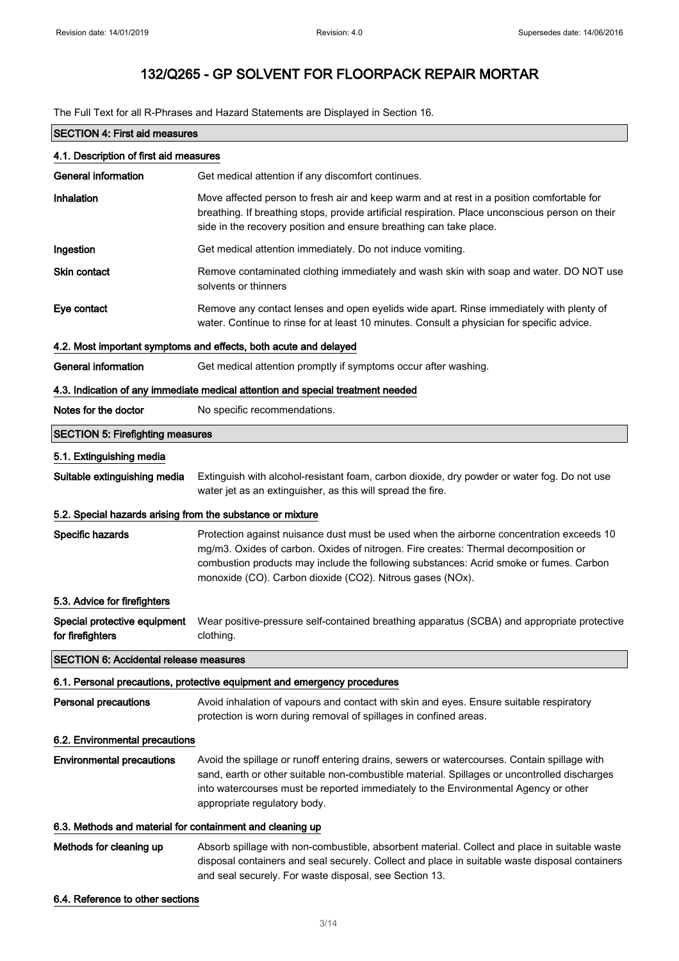The Full Text for all R-Phrases and Hazard Statements are Displayed in Section 16.

| <b>SECTION 4: First aid measures</b>                                            |                                                                                                                                                                                                                                                                                                                                        |  |
|---------------------------------------------------------------------------------|----------------------------------------------------------------------------------------------------------------------------------------------------------------------------------------------------------------------------------------------------------------------------------------------------------------------------------------|--|
| 4.1. Description of first aid measures                                          |                                                                                                                                                                                                                                                                                                                                        |  |
| <b>General information</b>                                                      | Get medical attention if any discomfort continues.                                                                                                                                                                                                                                                                                     |  |
| Inhalation                                                                      | Move affected person to fresh air and keep warm and at rest in a position comfortable for<br>breathing. If breathing stops, provide artificial respiration. Place unconscious person on their<br>side in the recovery position and ensure breathing can take place.                                                                    |  |
| Ingestion                                                                       | Get medical attention immediately. Do not induce vomiting.                                                                                                                                                                                                                                                                             |  |
| <b>Skin contact</b>                                                             | Remove contaminated clothing immediately and wash skin with soap and water. DO NOT use<br>solvents or thinners                                                                                                                                                                                                                         |  |
| Eye contact                                                                     | Remove any contact lenses and open eyelids wide apart. Rinse immediately with plenty of<br>water. Continue to rinse for at least 10 minutes. Consult a physician for specific advice.                                                                                                                                                  |  |
|                                                                                 | 4.2. Most important symptoms and effects, both acute and delayed                                                                                                                                                                                                                                                                       |  |
| <b>General information</b>                                                      | Get medical attention promptly if symptoms occur after washing.                                                                                                                                                                                                                                                                        |  |
| 4.3. Indication of any immediate medical attention and special treatment needed |                                                                                                                                                                                                                                                                                                                                        |  |
| Notes for the doctor                                                            | No specific recommendations.                                                                                                                                                                                                                                                                                                           |  |
| <b>SECTION 5: Firefighting measures</b>                                         |                                                                                                                                                                                                                                                                                                                                        |  |
| 5.1. Extinguishing media                                                        |                                                                                                                                                                                                                                                                                                                                        |  |
| Suitable extinguishing media                                                    | Extinguish with alcohol-resistant foam, carbon dioxide, dry powder or water fog. Do not use<br>water jet as an extinguisher, as this will spread the fire.                                                                                                                                                                             |  |
| 5.2. Special hazards arising from the substance or mixture                      |                                                                                                                                                                                                                                                                                                                                        |  |
| Specific hazards                                                                | Protection against nuisance dust must be used when the airborne concentration exceeds 10<br>mg/m3. Oxides of carbon. Oxides of nitrogen. Fire creates: Thermal decomposition or<br>combustion products may include the following substances: Acrid smoke or fumes. Carbon<br>monoxide (CO). Carbon dioxide (CO2). Nitrous gases (NOx). |  |
| 5.3. Advice for firefighters                                                    |                                                                                                                                                                                                                                                                                                                                        |  |
| Special protective equipment<br>for firefighters                                | Wear positive-pressure self-contained breathing apparatus (SCBA) and appropriate protective<br>clothing.                                                                                                                                                                                                                               |  |
| <b>SECTION 6: Accidental release measures</b>                                   |                                                                                                                                                                                                                                                                                                                                        |  |
|                                                                                 | 6.1. Personal precautions, protective equipment and emergency procedures                                                                                                                                                                                                                                                               |  |
| <b>Personal precautions</b>                                                     | Avoid inhalation of vapours and contact with skin and eyes. Ensure suitable respiratory<br>protection is worn during removal of spillages in confined areas.                                                                                                                                                                           |  |
| 6.2. Environmental precautions                                                  |                                                                                                                                                                                                                                                                                                                                        |  |
| <b>Environmental precautions</b>                                                | Avoid the spillage or runoff entering drains, sewers or watercourses. Contain spillage with<br>sand, earth or other suitable non-combustible material. Spillages or uncontrolled discharges<br>into watercourses must be reported immediately to the Environmental Agency or other<br>appropriate regulatory body.                     |  |
| 6.3. Methods and material for containment and cleaning up                       |                                                                                                                                                                                                                                                                                                                                        |  |
| Methods for cleaning up                                                         | Absorb spillage with non-combustible, absorbent material. Collect and place in suitable waste<br>disposal containers and seal securely. Collect and place in suitable waste disposal containers<br>and seal securely. For waste disposal, see Section 13.                                                                              |  |

6.4. Reference to other sections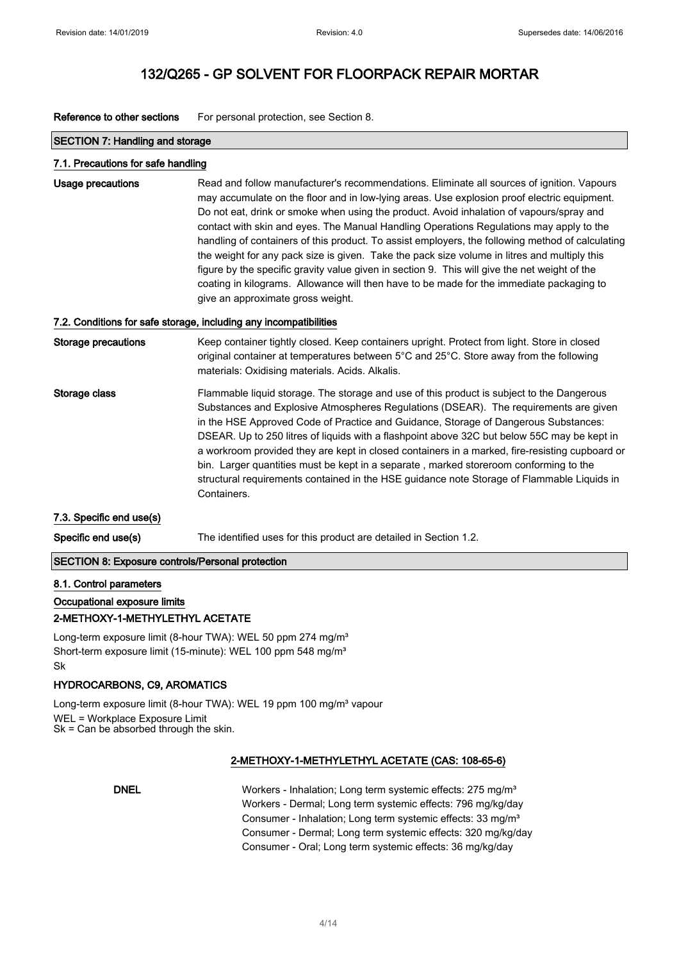Reference to other sections For personal protection, see Section 8.

#### SECTION 7: Handling and storage

#### 7.1. Precautions for safe handling

Usage precautions **Read and follow manufacturer's recommendations**. Eliminate all sources of ignition. Vapours may accumulate on the floor and in low-lying areas. Use explosion proof electric equipment. Do not eat, drink or smoke when using the product. Avoid inhalation of vapours/spray and contact with skin and eyes. The Manual Handling Operations Regulations may apply to the handling of containers of this product. To assist employers, the following method of calculating the weight for any pack size is given. Take the pack size volume in litres and multiply this figure by the specific gravity value given in section 9. This will give the net weight of the coating in kilograms. Allowance will then have to be made for the immediate packaging to give an approximate gross weight.

#### 7.2. Conditions for safe storage, including any incompatibilities

| Storage precautions | Keep container tightly closed. Keep containers upright. Protect from light. Store in closed<br>original container at temperatures between 5°C and 25°C. Store away from the following<br>materials: Oxidising materials. Acids. Alkalis.                                                                                                                                                                                                                                                                                                                                                                                                                                        |
|---------------------|---------------------------------------------------------------------------------------------------------------------------------------------------------------------------------------------------------------------------------------------------------------------------------------------------------------------------------------------------------------------------------------------------------------------------------------------------------------------------------------------------------------------------------------------------------------------------------------------------------------------------------------------------------------------------------|
| Storage class       | Flammable liquid storage. The storage and use of this product is subject to the Dangerous<br>Substances and Explosive Atmospheres Regulations (DSEAR). The requirements are given<br>in the HSE Approved Code of Practice and Guidance, Storage of Dangerous Substances:<br>DSEAR. Up to 250 litres of liquids with a flashpoint above 32C but below 55C may be kept in<br>a workroom provided they are kept in closed containers in a marked, fire-resisting cupboard or<br>bin. Larger quantities must be kept in a separate, marked storeroom conforming to the<br>structural requirements contained in the HSE guidance note Storage of Flammable Liquids in<br>Containers. |

#### 7.3. Specific end use(s)

Specific end use(s) The identified uses for this product are detailed in Section 1.2.

#### SECTION 8: Exposure controls/Personal protection

#### 8.1. Control parameters

## Occupational exposure limits 2-METHOXY-1-METHYLETHYL ACETATE

Long-term exposure limit (8-hour TWA): WEL 50 ppm 274 mg/m<sup>3</sup> Short-term exposure limit (15-minute): WEL 100 ppm 548 mg/m<sup>3</sup> Sk

### HYDROCARBONS, C9, AROMATICS

Long-term exposure limit (8-hour TWA): WEL 19 ppm 100 mg/m<sup>3</sup> vapour WEL = Workplace Exposure Limit Sk = Can be absorbed through the skin.

### 2-METHOXY-1-METHYLETHYL ACETATE (CAS: 108-65-6)

DNEL Workers - Inhalation; Long term systemic effects: 275 mg/m<sup>3</sup> Workers - Dermal; Long term systemic effects: 796 mg/kg/day Consumer - Inhalation; Long term systemic effects: 33 mg/m<sup>3</sup> Consumer - Dermal; Long term systemic effects: 320 mg/kg/day Consumer - Oral; Long term systemic effects: 36 mg/kg/day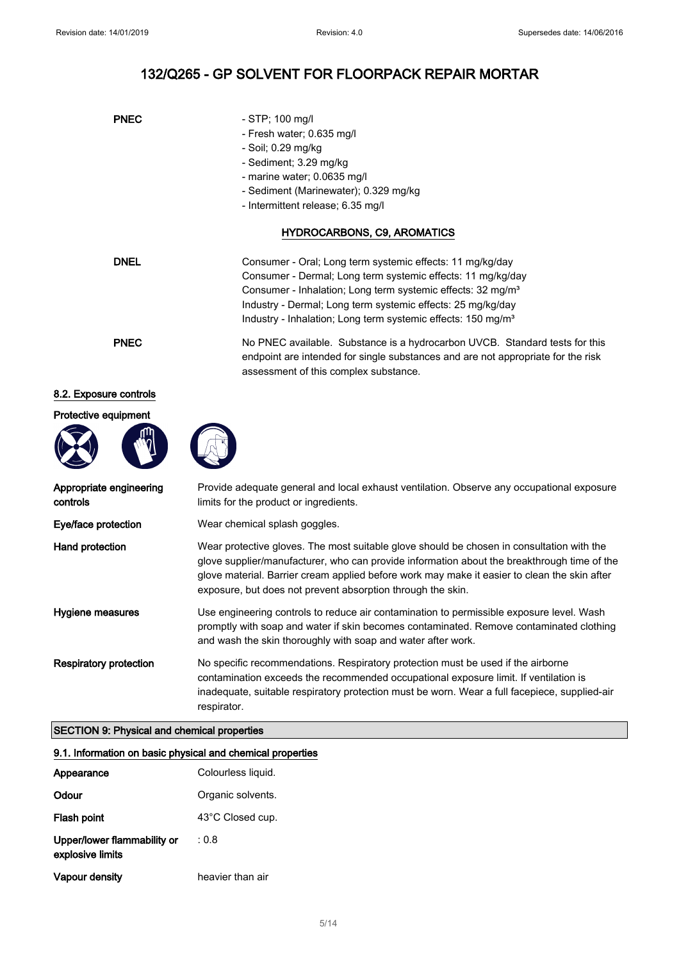# 132/Q265 - GP SOLVENT FOR FLOORPACK REPAIR MORTAR

| <b>PNEC</b>                         | - STP; 100 mg/l<br>- Fresh water; 0.635 mg/l<br>- Soil; 0.29 mg/kg<br>- Sediment; 3.29 mg/kg<br>- marine water; 0.0635 mg/l<br>- Sediment (Marinewater); 0.329 mg/kg<br>- Intermittent release; 6.35 mg/l                                                                                                                                               |  |
|-------------------------------------|---------------------------------------------------------------------------------------------------------------------------------------------------------------------------------------------------------------------------------------------------------------------------------------------------------------------------------------------------------|--|
|                                     | HYDROCARBONS, C9, AROMATICS                                                                                                                                                                                                                                                                                                                             |  |
| <b>DNEL</b>                         | Consumer - Oral; Long term systemic effects: 11 mg/kg/day<br>Consumer - Dermal; Long term systemic effects: 11 mg/kg/day<br>Consumer - Inhalation; Long term systemic effects: 32 mg/m <sup>3</sup><br>Industry - Dermal; Long term systemic effects: 25 mg/kg/day<br>Industry - Inhalation; Long term systemic effects: 150 mg/m <sup>3</sup>          |  |
| <b>PNEC</b>                         | No PNEC available. Substance is a hydrocarbon UVCB. Standard tests for this<br>endpoint are intended for single substances and are not appropriate for the risk<br>assessment of this complex substance.                                                                                                                                                |  |
| 8.2. Exposure controls              |                                                                                                                                                                                                                                                                                                                                                         |  |
| Protective equipment                |                                                                                                                                                                                                                                                                                                                                                         |  |
| Appropriate engineering<br>controls | Provide adequate general and local exhaust ventilation. Observe any occupational exposure<br>limits for the product or ingredients.                                                                                                                                                                                                                     |  |
| Eye/face protection                 | Wear chemical splash goggles.                                                                                                                                                                                                                                                                                                                           |  |
| Hand protection                     | Wear protective gloves. The most suitable glove should be chosen in consultation with the<br>glove supplier/manufacturer, who can provide information about the breakthrough time of the<br>glove material. Barrier cream applied before work may make it easier to clean the skin after<br>exposure, but does not prevent absorption through the skin. |  |
| Hygiene measures                    | Use engineering controls to reduce air contamination to permissible exposure level. Wash<br>promptly with soan and water if skin becomes contaminated. Remove contaminated clothing                                                                                                                                                                     |  |

promptly with soap and water if skin becomes contaminated. Remove contaminated clothing and wash the skin thoroughly with soap and water after work.

Respiratory protection No specific recommendations. Respiratory protection must be used if the airborne contamination exceeds the recommended occupational exposure limit. If ventilation is inadequate, suitable respiratory protection must be worn. Wear a full facepiece, supplied-air respirator.

## SECTION 9: Physical and chemical properties

### 9.1. Information on basic physical and chemical properties

| Appearance                                      | Colourless liquid. |
|-------------------------------------------------|--------------------|
| Odour                                           | Organic solvents.  |
| Flash point                                     | 43°C Closed cup.   |
| Upper/lower flammability or<br>explosive limits | : 0.8              |
| Vapour density                                  | heavier than air   |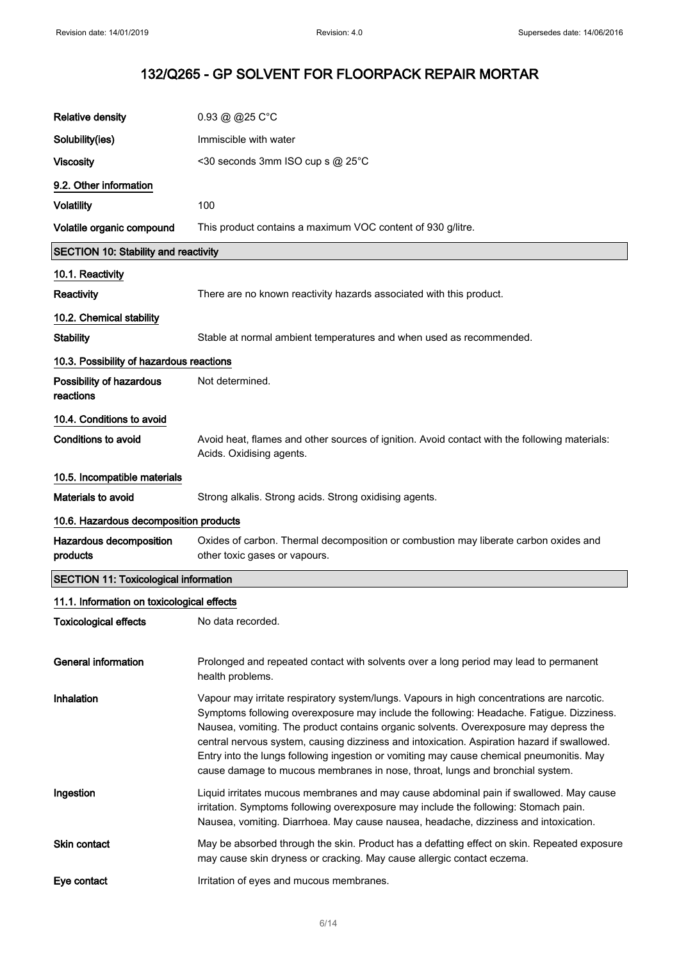| <b>Relative density</b>                      | 0.93 @ @25 C°C                                                                                                                                                                                                                                                                                                                                                                                                                                                                                                                                              |
|----------------------------------------------|-------------------------------------------------------------------------------------------------------------------------------------------------------------------------------------------------------------------------------------------------------------------------------------------------------------------------------------------------------------------------------------------------------------------------------------------------------------------------------------------------------------------------------------------------------------|
| Solubility(ies)                              | Immiscible with water                                                                                                                                                                                                                                                                                                                                                                                                                                                                                                                                       |
| <b>Viscosity</b>                             | <30 seconds 3mm ISO cup s @ 25°C                                                                                                                                                                                                                                                                                                                                                                                                                                                                                                                            |
| 9.2. Other information                       |                                                                                                                                                                                                                                                                                                                                                                                                                                                                                                                                                             |
| <b>Volatility</b>                            | 100                                                                                                                                                                                                                                                                                                                                                                                                                                                                                                                                                         |
| Volatile organic compound                    | This product contains a maximum VOC content of 930 g/litre.                                                                                                                                                                                                                                                                                                                                                                                                                                                                                                 |
| <b>SECTION 10: Stability and reactivity</b>  |                                                                                                                                                                                                                                                                                                                                                                                                                                                                                                                                                             |
| 10.1. Reactivity                             |                                                                                                                                                                                                                                                                                                                                                                                                                                                                                                                                                             |
| <b>Reactivity</b>                            | There are no known reactivity hazards associated with this product.                                                                                                                                                                                                                                                                                                                                                                                                                                                                                         |
| 10.2. Chemical stability                     |                                                                                                                                                                                                                                                                                                                                                                                                                                                                                                                                                             |
| <b>Stability</b>                             | Stable at normal ambient temperatures and when used as recommended.                                                                                                                                                                                                                                                                                                                                                                                                                                                                                         |
| 10.3. Possibility of hazardous reactions     |                                                                                                                                                                                                                                                                                                                                                                                                                                                                                                                                                             |
| Possibility of hazardous<br>reactions        | Not determined.                                                                                                                                                                                                                                                                                                                                                                                                                                                                                                                                             |
| 10.4. Conditions to avoid                    |                                                                                                                                                                                                                                                                                                                                                                                                                                                                                                                                                             |
| Conditions to avoid                          | Avoid heat, flames and other sources of ignition. Avoid contact with the following materials:<br>Acids. Oxidising agents.                                                                                                                                                                                                                                                                                                                                                                                                                                   |
| 10.5. Incompatible materials                 |                                                                                                                                                                                                                                                                                                                                                                                                                                                                                                                                                             |
| Materials to avoid                           | Strong alkalis. Strong acids. Strong oxidising agents.                                                                                                                                                                                                                                                                                                                                                                                                                                                                                                      |
| 10.6. Hazardous decomposition products       |                                                                                                                                                                                                                                                                                                                                                                                                                                                                                                                                                             |
| Hazardous decomposition<br>products          | Oxides of carbon. Thermal decomposition or combustion may liberate carbon oxides and<br>other toxic gases or vapours.                                                                                                                                                                                                                                                                                                                                                                                                                                       |
| <b>SECTION 11: Toxicological information</b> |                                                                                                                                                                                                                                                                                                                                                                                                                                                                                                                                                             |
| 11.1. Information on toxicological effects   |                                                                                                                                                                                                                                                                                                                                                                                                                                                                                                                                                             |
| <b>Toxicological effects</b>                 | No data recorded.                                                                                                                                                                                                                                                                                                                                                                                                                                                                                                                                           |
| <b>General information</b>                   | Prolonged and repeated contact with solvents over a long period may lead to permanent<br>health problems.                                                                                                                                                                                                                                                                                                                                                                                                                                                   |
| Inhalation                                   | Vapour may irritate respiratory system/lungs. Vapours in high concentrations are narcotic.<br>Symptoms following overexposure may include the following: Headache. Fatigue. Dizziness.<br>Nausea, vomiting. The product contains organic solvents. Overexposure may depress the<br>central nervous system, causing dizziness and intoxication. Aspiration hazard if swallowed.<br>Entry into the lungs following ingestion or vomiting may cause chemical pneumonitis. May<br>cause damage to mucous membranes in nose, throat, lungs and bronchial system. |
| Ingestion                                    | Liquid irritates mucous membranes and may cause abdominal pain if swallowed. May cause<br>irritation. Symptoms following overexposure may include the following: Stomach pain.<br>Nausea, vomiting. Diarrhoea. May cause nausea, headache, dizziness and intoxication.                                                                                                                                                                                                                                                                                      |
| Skin contact                                 | May be absorbed through the skin. Product has a defatting effect on skin. Repeated exposure<br>may cause skin dryness or cracking. May cause allergic contact eczema.                                                                                                                                                                                                                                                                                                                                                                                       |
| Eye contact                                  | Irritation of eyes and mucous membranes.                                                                                                                                                                                                                                                                                                                                                                                                                                                                                                                    |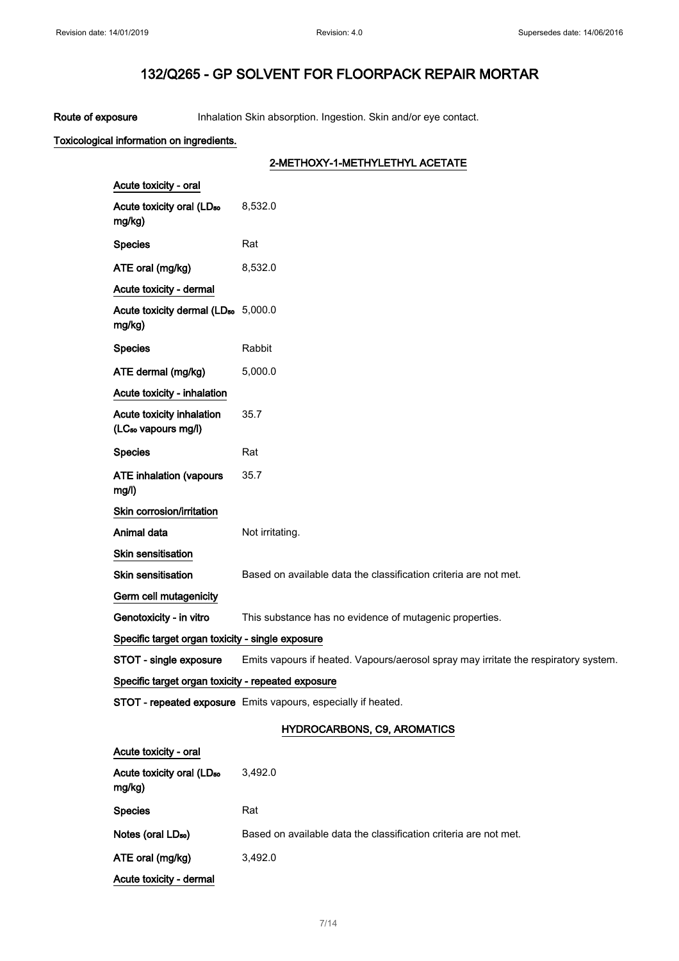Route of exposure Inhalation Skin absorption. Ingestion. Skin and/or eye contact.

## Toxicological information on ingredients.

## 2-METHOXY-1-METHYLETHYL ACETATE

| Acute toxicity - oral                                        |                                                                                     |  |
|--------------------------------------------------------------|-------------------------------------------------------------------------------------|--|
| Acute toxicity oral (LD <sub>50</sub><br>mg/kg)              | 8,532.0                                                                             |  |
| <b>Species</b>                                               | Rat                                                                                 |  |
| ATE oral (mg/kg)                                             | 8,532.0                                                                             |  |
| Acute toxicity - dermal                                      |                                                                                     |  |
| Acute toxicity dermal (LD <sub>50</sub> 5,000.0<br>mg/kg)    |                                                                                     |  |
| <b>Species</b>                                               | Rabbit                                                                              |  |
| ATE dermal (mg/kg)                                           | 5,000.0                                                                             |  |
| Acute toxicity - inhalation                                  |                                                                                     |  |
| Acute toxicity inhalation<br>(LC <sub>50</sub> vapours mg/l) | 35.7                                                                                |  |
| <b>Species</b>                                               | Rat                                                                                 |  |
| <b>ATE inhalation (vapours</b><br>mg/l)                      | 35.7                                                                                |  |
| Skin corrosion/irritation                                    |                                                                                     |  |
| Animal data                                                  | Not irritating.                                                                     |  |
| <b>Skin sensitisation</b>                                    |                                                                                     |  |
| <b>Skin sensitisation</b>                                    | Based on available data the classification criteria are not met.                    |  |
| Germ cell mutagenicity                                       |                                                                                     |  |
| Genotoxicity - in vitro                                      | This substance has no evidence of mutagenic properties.                             |  |
| Specific target organ toxicity - single exposure             |                                                                                     |  |
| STOT - single exposure                                       | Emits vapours if heated. Vapours/aerosol spray may irritate the respiratory system. |  |
| Specific target organ toxicity - repeated exposure           |                                                                                     |  |
|                                                              | STOT - repeated exposure Emits vapours, especially if heated.                       |  |
|                                                              | <b>HYDROCARBONS, C9, AROMATICS</b>                                                  |  |
| Acute toxicity - oral                                        |                                                                                     |  |

| Acute toxicity oral (LD <sub>50</sub><br>mg/kg) | 3,492.0                                                          |
|-------------------------------------------------|------------------------------------------------------------------|
| <b>Species</b>                                  | Rat                                                              |
| Notes (oral LD <sub>50</sub> )                  | Based on available data the classification criteria are not met. |
| ATE oral (mg/kg)                                | 3.492.0                                                          |
| Acute toxicity - dermal                         |                                                                  |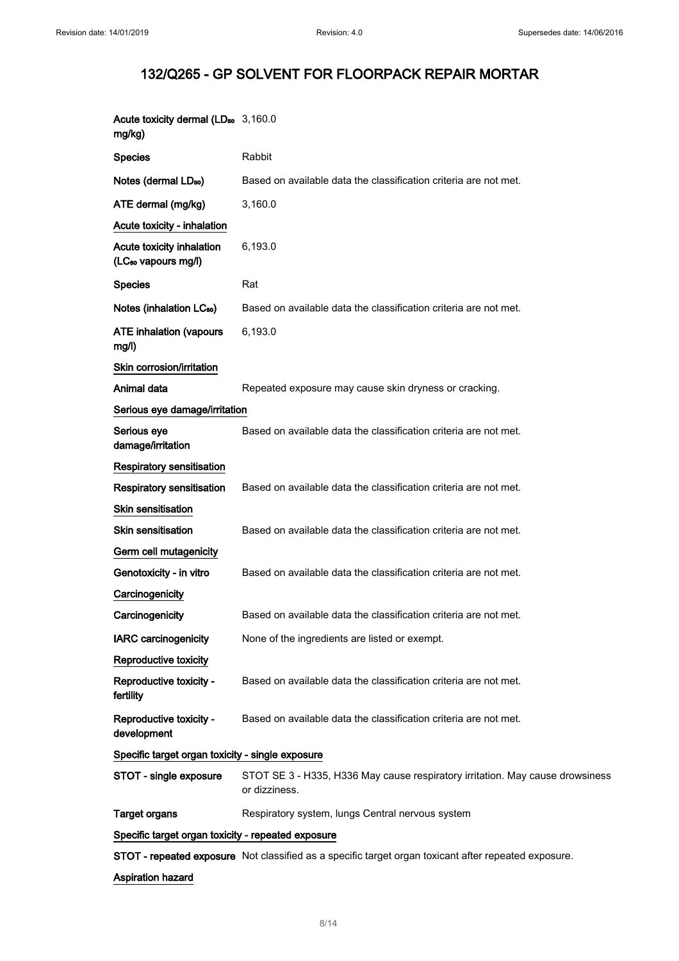| Acute toxicity dermal (LD <sub>50</sub> 3,160.0<br>mg/kg)    |                                                                                                      |  |
|--------------------------------------------------------------|------------------------------------------------------------------------------------------------------|--|
| <b>Species</b>                                               | Rabbit                                                                                               |  |
| Notes (dermal LD <sub>50</sub> )                             | Based on available data the classification criteria are not met.                                     |  |
| ATE dermal (mg/kg)                                           | 3,160.0                                                                                              |  |
| Acute toxicity - inhalation                                  |                                                                                                      |  |
| Acute toxicity inhalation<br>(LC <sub>50</sub> vapours mg/l) | 6,193.0                                                                                              |  |
| <b>Species</b>                                               | Rat                                                                                                  |  |
| Notes (inhalation LC <sub>50</sub> )                         | Based on available data the classification criteria are not met.                                     |  |
| <b>ATE inhalation (vapours</b><br>mg/l)                      | 6,193.0                                                                                              |  |
| Skin corrosion/irritation                                    |                                                                                                      |  |
| Animal data                                                  | Repeated exposure may cause skin dryness or cracking.                                                |  |
| Serious eye damage/irritation                                |                                                                                                      |  |
| Serious eye<br>damage/irritation                             | Based on available data the classification criteria are not met.                                     |  |
| Respiratory sensitisation                                    |                                                                                                      |  |
| Respiratory sensitisation                                    | Based on available data the classification criteria are not met.                                     |  |
| <b>Skin sensitisation</b>                                    |                                                                                                      |  |
| <b>Skin sensitisation</b>                                    | Based on available data the classification criteria are not met.                                     |  |
| Germ cell mutagenicity                                       |                                                                                                      |  |
| Genotoxicity - in vitro                                      | Based on available data the classification criteria are not met.                                     |  |
| Carcinogenicity                                              |                                                                                                      |  |
| Carcinogenicity                                              | Based on available data the classification criteria are not met.                                     |  |
| <b>IARC</b> carcinogenicity                                  | None of the ingredients are listed or exempt.                                                        |  |
| Reproductive toxicity                                        |                                                                                                      |  |
| Reproductive toxicity -<br>fertility                         | Based on available data the classification criteria are not met.                                     |  |
| Reproductive toxicity -<br>development                       | Based on available data the classification criteria are not met.                                     |  |
| Specific target organ toxicity - single exposure             |                                                                                                      |  |
| STOT - single exposure                                       | STOT SE 3 - H335, H336 May cause respiratory irritation. May cause drowsiness<br>or dizziness.       |  |
| <b>Target organs</b>                                         | Respiratory system, lungs Central nervous system                                                     |  |
| Specific target organ toxicity - repeated exposure           |                                                                                                      |  |
|                                                              | STOT - repeated exposure Not classified as a specific target organ toxicant after repeated exposure. |  |
| Aspiration hazard                                            |                                                                                                      |  |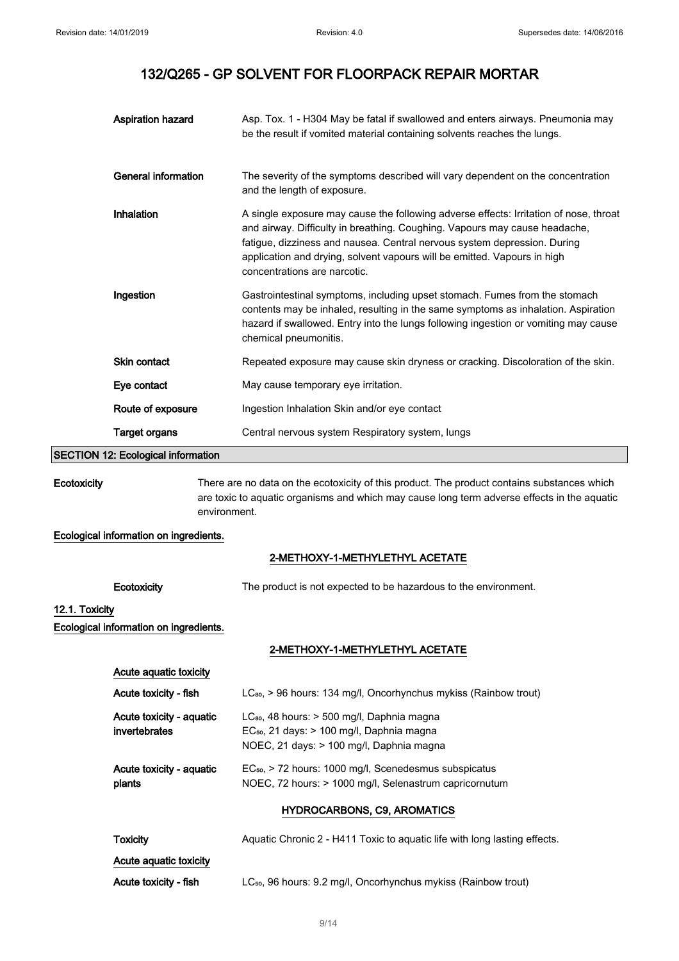|             | <b>Aspiration hazard</b>           | Asp. Tox. 1 - H304 May be fatal if swallowed and enters airways. Pneumonia may<br>be the result if vomited material containing solvents reaches the lungs.                                                                                                                                                                                                  |
|-------------|------------------------------------|-------------------------------------------------------------------------------------------------------------------------------------------------------------------------------------------------------------------------------------------------------------------------------------------------------------------------------------------------------------|
|             | General information                | The severity of the symptoms described will vary dependent on the concentration<br>and the length of exposure.                                                                                                                                                                                                                                              |
|             | Inhalation                         | A single exposure may cause the following adverse effects: Irritation of nose, throat<br>and airway. Difficulty in breathing. Coughing. Vapours may cause headache,<br>fatigue, dizziness and nausea. Central nervous system depression. During<br>application and drying, solvent vapours will be emitted. Vapours in high<br>concentrations are narcotic. |
|             | Ingestion                          | Gastrointestinal symptoms, including upset stomach. Fumes from the stomach<br>contents may be inhaled, resulting in the same symptoms as inhalation. Aspiration<br>hazard if swallowed. Entry into the lungs following ingestion or vomiting may cause<br>chemical pneumonitis.                                                                             |
|             | Skin contact                       | Repeated exposure may cause skin dryness or cracking. Discoloration of the skin.                                                                                                                                                                                                                                                                            |
|             | Eye contact                        | May cause temporary eye irritation.                                                                                                                                                                                                                                                                                                                         |
|             | Route of exposure                  | Ingestion Inhalation Skin and/or eye contact                                                                                                                                                                                                                                                                                                                |
|             | <b>Target organs</b>               | Central nervous system Respiratory system, lungs                                                                                                                                                                                                                                                                                                            |
|             | SECTION 12: Ecological information |                                                                                                                                                                                                                                                                                                                                                             |
| Ecotoxicity |                                    | There are no data on the ecotoxicity of this product. The product contains substances which<br>are toxic to aquatic organisms and which may cause long term adverse effects in the aquatic                                                                                                                                                                  |

Ecological information on ingredients.

environment.

## 2-METHOXY-1-METHYLETHYL ACETATE

| Ecotoxicity                                              | The product is not expected to be hazardous to the environment.                                                                                        |
|----------------------------------------------------------|--------------------------------------------------------------------------------------------------------------------------------------------------------|
| 12.1. Toxicity<br>Ecological information on ingredients. |                                                                                                                                                        |
|                                                          | 2-METHOXY-1-METHYLETHYL ACETATE                                                                                                                        |
| Acute aquatic toxicity                                   |                                                                                                                                                        |
| Acute toxicity - fish                                    | $LC_{so}$ , > 96 hours: 134 mg/l, Oncorhynchus mykiss (Rainbow trout)                                                                                  |
| Acute toxicity - aquatic<br>invertebrates                | $LC_{80}$ , 48 hours: $>$ 500 mg/l, Daphnia magna<br>EC <sub>50</sub> , 21 days: > 100 mg/l, Daphnia magna<br>NOEC, 21 days: > 100 mg/l, Daphnia magna |
| Acute toxicity - aquatic<br>plants                       | EC <sub>50</sub> , > 72 hours: 1000 mg/l, Scenedesmus subspicatus<br>NOEC, 72 hours: > 1000 mg/l, Selenastrum capricornutum                            |
|                                                          | <b>HYDROCARBONS, C9, AROMATICS</b>                                                                                                                     |
| <b>Toxicity</b>                                          | Aquatic Chronic 2 - H411 Toxic to aquatic life with long lasting effects.                                                                              |
| Acute aquatic toxicity                                   |                                                                                                                                                        |
| Acute toxicity - fish                                    | LC <sub>50</sub> , 96 hours: 9.2 mg/l, Oncorhynchus mykiss (Rainbow trout)                                                                             |
|                                                          | 9/14                                                                                                                                                   |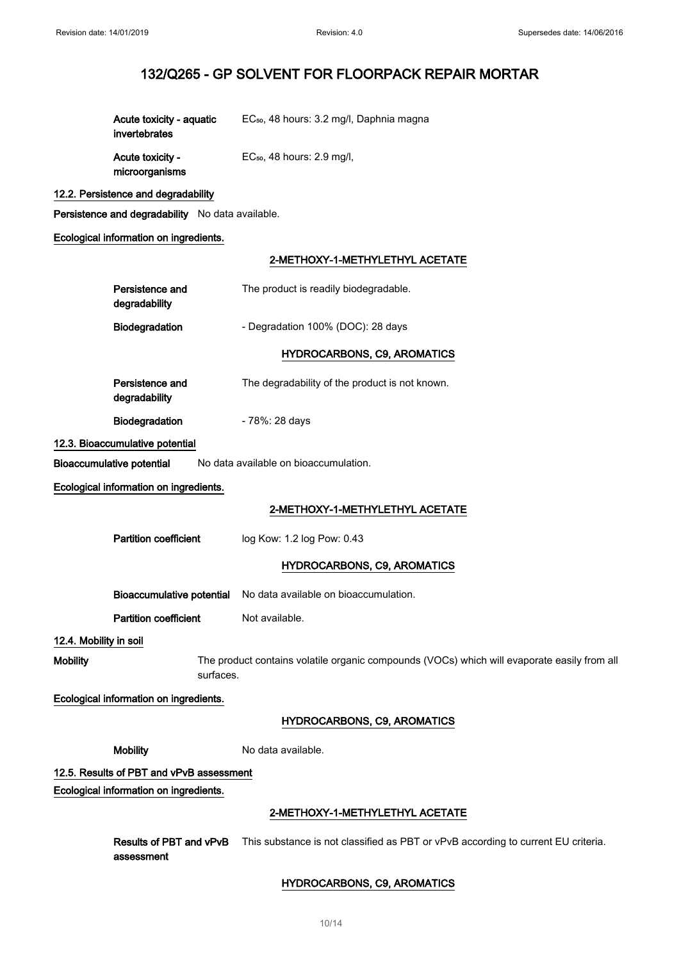| Acute toxicity - aguatic<br>invertebrates | EC <sub>50</sub> , 48 hours: 3.2 mg/l, Daphnia magna |
|-------------------------------------------|------------------------------------------------------|
| Acute toxicity -                          | $EC50$ , 48 hours: 2.9 mg/l,                         |

## 12.2. Persistence and degradability

microorganisms

Persistence and degradability No data available.

## Ecological information on ingredients.

## 2-METHOXY-1-METHYL ETHYL ACETATE

|                        |                                                                                                          | E-METHONI-PMETHILETHILE AVEIATE                                                   |
|------------------------|----------------------------------------------------------------------------------------------------------|-----------------------------------------------------------------------------------|
|                        | Persistence and<br>degradability                                                                         | The product is readily biodegradable.                                             |
|                        | Biodegradation                                                                                           | - Degradation 100% (DOC): 28 days                                                 |
|                        |                                                                                                          | <b>HYDROCARBONS, C9, AROMATICS</b>                                                |
|                        | Persistence and<br>degradability                                                                         | The degradability of the product is not known.                                    |
|                        | <b>Biodegradation</b>                                                                                    | - 78%: 28 days                                                                    |
|                        | 12.3. Bioaccumulative potential                                                                          |                                                                                   |
|                        | <b>Bioaccumulative potential</b>                                                                         | No data available on bioaccumulation.                                             |
|                        | Ecological information on ingredients.                                                                   |                                                                                   |
|                        |                                                                                                          | 2-METHOXY-1-METHYLETHYL ACETATE                                                   |
|                        | <b>Partition coefficient</b>                                                                             | log Kow: 1.2 log Pow: 0.43                                                        |
|                        |                                                                                                          | <b>HYDROCARBONS, C9, AROMATICS</b>                                                |
|                        |                                                                                                          | Bioaccumulative potential No data available on bioaccumulation.                   |
|                        | <b>Partition coefficient</b>                                                                             | Not available.                                                                    |
| 12.4. Mobility in soil |                                                                                                          |                                                                                   |
| <b>Mobility</b>        | The product contains volatile organic compounds (VOCs) which will evaporate easily from all<br>surfaces. |                                                                                   |
|                        | Ecological information on ingredients.                                                                   |                                                                                   |
|                        |                                                                                                          | <b>HYDROCARBONS, C9, AROMATICS</b>                                                |
|                        | <b>Mobility</b>                                                                                          | No data available.                                                                |
|                        | 12.5. Results of PBT and vPvB assessment                                                                 |                                                                                   |
|                        | Ecological information on ingredients.                                                                   |                                                                                   |
|                        |                                                                                                          | 2-METHOXY-1-METHYLETHYL ACETATE                                                   |
|                        | Results of PBT and vPvB<br>assessment                                                                    | This substance is not classified as PBT or vPvB according to current EU criteria. |
|                        |                                                                                                          | <b>HYDROCARBONS, C9, AROMATICS</b>                                                |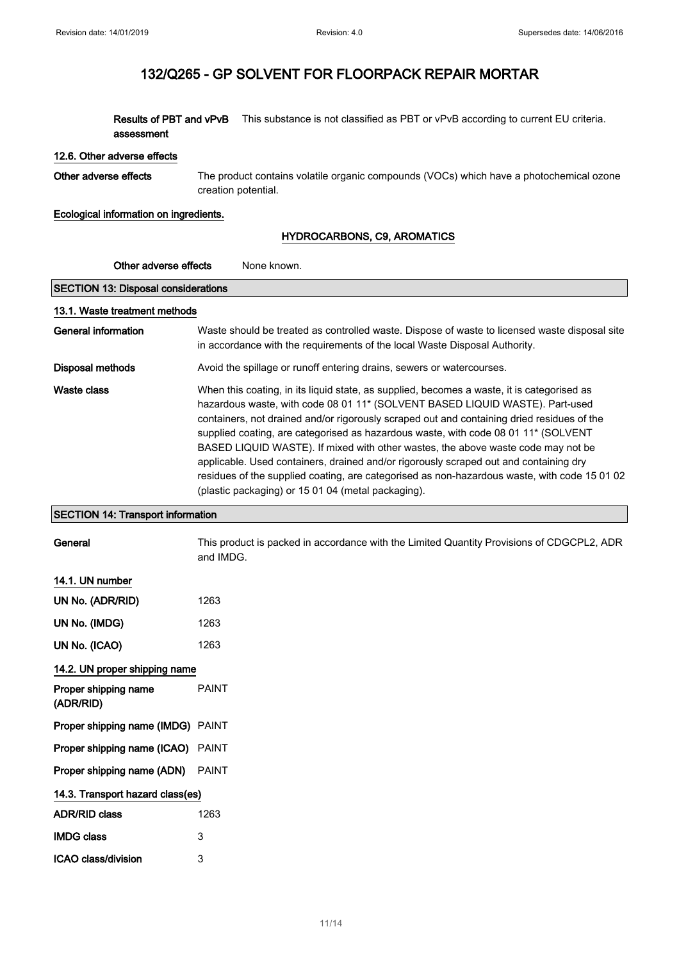Results of PBT and vPvB This substance is not classified as PBT or vPvB according to current EU criteria. assessment

#### 12.6. Other adverse effects

Other adverse effects The product contains volatile organic compounds (VOCs) which have a photochemical ozone creation potential.

Ecological information on ingredients.

## HYDROCARBONS, C9, AROMATICS

| Other adverse effects<br>None known.       |                                                                                                                                                                                                                                                                                                                                                                                                                                                                                                                                                                                                                                                                                                   |  |  |  |
|--------------------------------------------|---------------------------------------------------------------------------------------------------------------------------------------------------------------------------------------------------------------------------------------------------------------------------------------------------------------------------------------------------------------------------------------------------------------------------------------------------------------------------------------------------------------------------------------------------------------------------------------------------------------------------------------------------------------------------------------------------|--|--|--|
| <b>SECTION 13: Disposal considerations</b> |                                                                                                                                                                                                                                                                                                                                                                                                                                                                                                                                                                                                                                                                                                   |  |  |  |
| 13.1. Waste treatment methods              |                                                                                                                                                                                                                                                                                                                                                                                                                                                                                                                                                                                                                                                                                                   |  |  |  |
| <b>General information</b>                 | Waste should be treated as controlled waste. Dispose of waste to licensed waste disposal site<br>in accordance with the requirements of the local Waste Disposal Authority.                                                                                                                                                                                                                                                                                                                                                                                                                                                                                                                       |  |  |  |
| <b>Disposal methods</b>                    | Avoid the spillage or runoff entering drains, sewers or watercourses.                                                                                                                                                                                                                                                                                                                                                                                                                                                                                                                                                                                                                             |  |  |  |
| <b>Waste class</b>                         | When this coating, in its liquid state, as supplied, becomes a waste, it is categorised as<br>hazardous waste, with code 08 01 11* (SOLVENT BASED LIQUID WASTE). Part-used<br>containers, not drained and/or rigorously scraped out and containing dried residues of the<br>supplied coating, are categorised as hazardous waste, with code 08 01 11* (SOLVENT<br>BASED LIQUID WASTE). If mixed with other wastes, the above waste code may not be<br>applicable. Used containers, drained and/or rigorously scraped out and containing dry<br>residues of the supplied coating, are categorised as non-hazardous waste, with code 15 01 02<br>(plastic packaging) or 15 01 04 (metal packaging). |  |  |  |
| <b>SECTION 14: Transport information</b>   |                                                                                                                                                                                                                                                                                                                                                                                                                                                                                                                                                                                                                                                                                                   |  |  |  |
| General                                    | This product is packed in accordance with the Limited Quantity Provisions of CDGCPL2, ADR<br>and IMDG.                                                                                                                                                                                                                                                                                                                                                                                                                                                                                                                                                                                            |  |  |  |
| 14.1. UN number                            |                                                                                                                                                                                                                                                                                                                                                                                                                                                                                                                                                                                                                                                                                                   |  |  |  |
| UN No. (ADR/RID)                           | 1263                                                                                                                                                                                                                                                                                                                                                                                                                                                                                                                                                                                                                                                                                              |  |  |  |
| UN No. (IMDG)                              | 1263                                                                                                                                                                                                                                                                                                                                                                                                                                                                                                                                                                                                                                                                                              |  |  |  |
| UN No. (ICAO)                              | 1263                                                                                                                                                                                                                                                                                                                                                                                                                                                                                                                                                                                                                                                                                              |  |  |  |
| 14.2. UN proper shipping name              |                                                                                                                                                                                                                                                                                                                                                                                                                                                                                                                                                                                                                                                                                                   |  |  |  |
| Proper shipping name<br>(ADR/RID)          | <b>PAINT</b>                                                                                                                                                                                                                                                                                                                                                                                                                                                                                                                                                                                                                                                                                      |  |  |  |
| Proper shipping name (IMDG) PAINT          |                                                                                                                                                                                                                                                                                                                                                                                                                                                                                                                                                                                                                                                                                                   |  |  |  |
| Proper shipping name (ICAO) PAINT          |                                                                                                                                                                                                                                                                                                                                                                                                                                                                                                                                                                                                                                                                                                   |  |  |  |
| Proper shipping name (ADN)                 | <b>PAINT</b>                                                                                                                                                                                                                                                                                                                                                                                                                                                                                                                                                                                                                                                                                      |  |  |  |
| 14.3. Transport hazard class(es)           |                                                                                                                                                                                                                                                                                                                                                                                                                                                                                                                                                                                                                                                                                                   |  |  |  |
| <b>ADR/RID class</b>                       | 1263                                                                                                                                                                                                                                                                                                                                                                                                                                                                                                                                                                                                                                                                                              |  |  |  |
| <b>IMDG class</b>                          | 3                                                                                                                                                                                                                                                                                                                                                                                                                                                                                                                                                                                                                                                                                                 |  |  |  |
| ICAO class/division                        | 3                                                                                                                                                                                                                                                                                                                                                                                                                                                                                                                                                                                                                                                                                                 |  |  |  |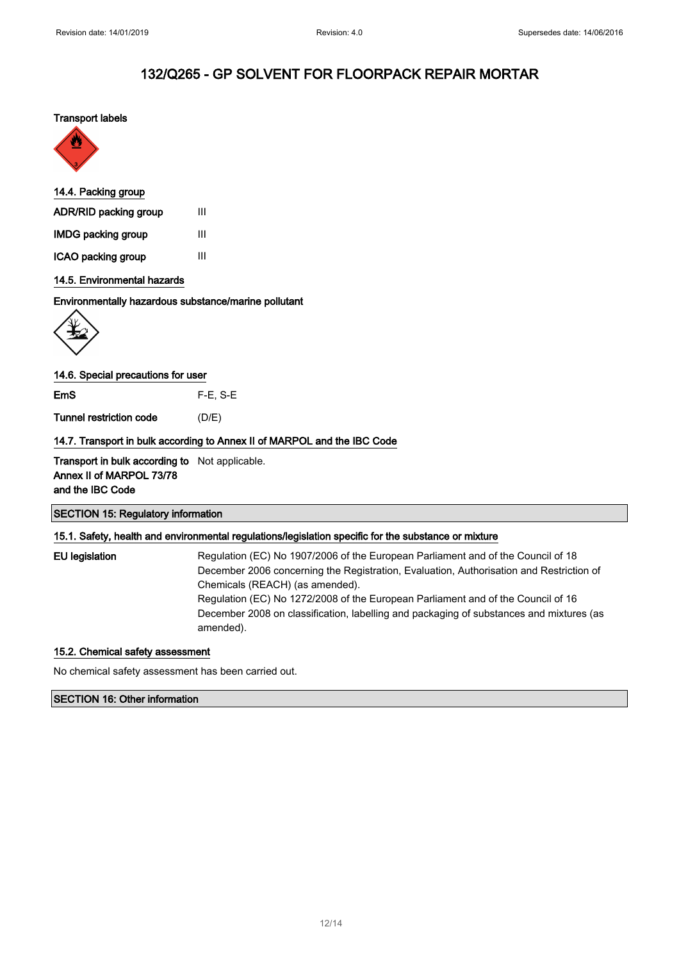### Transport labels



### 14.4. Packing group

| ADR/RID packing group     | Ш |
|---------------------------|---|
| <b>IMDG packing group</b> | Ш |
| ICAO packing group        | Ш |

## 14.5. Environmental hazards

### Environmentally hazardous substance/marine pollutant



### 14.6. Special precautions for user

EmS F-E, S-E

Tunnel restriction code (D/E)

### 14.7. Transport in bulk according to Annex II of MARPOL and the IBC Code

Transport in bulk according to Not applicable. Annex II of MARPOL 73/78 and the IBC Code

#### SECTION 15: Regulatory information

### 15.1. Safety, health and environmental regulations/legislation specific for the substance or mixture

EU legislation Regulation (EC) No 1907/2006 of the European Parliament and of the Council of 18 December 2006 concerning the Registration, Evaluation, Authorisation and Restriction of Chemicals (REACH) (as amended). Regulation (EC) No 1272/2008 of the European Parliament and of the Council of 16 December 2008 on classification, labelling and packaging of substances and mixtures (as amended).

### 15.2. Chemical safety assessment

No chemical safety assessment has been carried out.

#### SECTION 16: Other information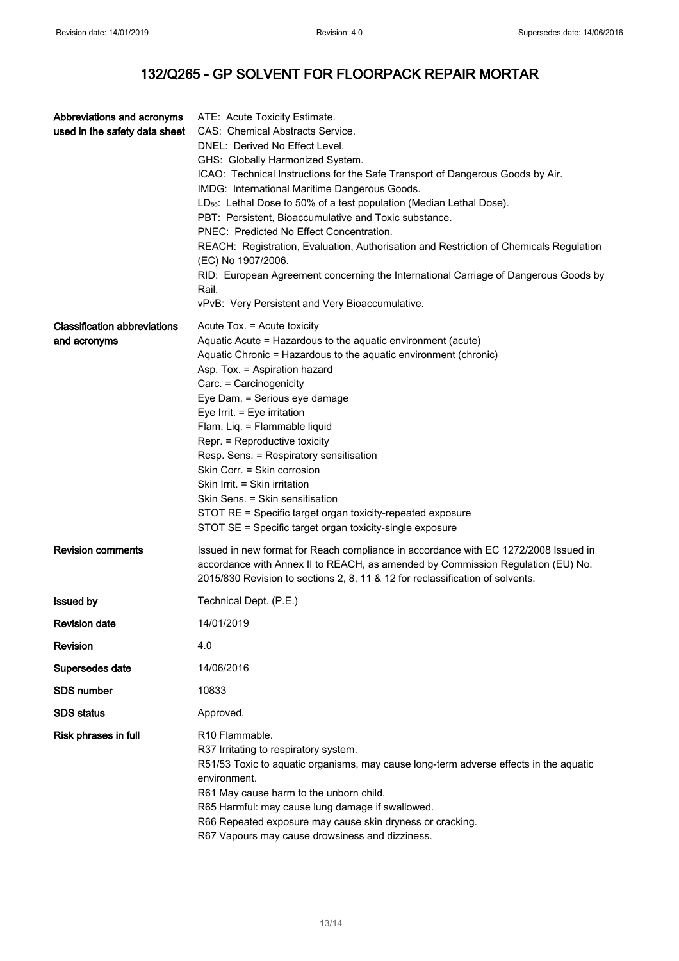| Abbreviations and acronyms          | ATE: Acute Toxicity Estimate.                                                                                |
|-------------------------------------|--------------------------------------------------------------------------------------------------------------|
| used in the safety data sheet       | CAS: Chemical Abstracts Service.                                                                             |
|                                     | DNEL: Derived No Effect Level.                                                                               |
|                                     | GHS: Globally Harmonized System.                                                                             |
|                                     | ICAO: Technical Instructions for the Safe Transport of Dangerous Goods by Air.                               |
|                                     | IMDG: International Maritime Dangerous Goods.                                                                |
|                                     | LD <sub>50</sub> : Lethal Dose to 50% of a test population (Median Lethal Dose).                             |
|                                     | PBT: Persistent, Bioaccumulative and Toxic substance.                                                        |
|                                     | PNEC: Predicted No Effect Concentration.                                                                     |
|                                     | REACH: Registration, Evaluation, Authorisation and Restriction of Chemicals Regulation<br>(EC) No 1907/2006. |
|                                     | RID: European Agreement concerning the International Carriage of Dangerous Goods by                          |
|                                     | Rail.                                                                                                        |
|                                     | vPvB: Very Persistent and Very Bioaccumulative.                                                              |
| <b>Classification abbreviations</b> | Acute Tox. = Acute toxicity                                                                                  |
| and acronyms                        | Aquatic Acute = Hazardous to the aquatic environment (acute)                                                 |
|                                     | Aquatic Chronic = Hazardous to the aquatic environment (chronic)                                             |
|                                     | Asp. Tox. = Aspiration hazard                                                                                |
|                                     | Carc. = Carcinogenicity                                                                                      |
|                                     | Eye Dam. = Serious eye damage                                                                                |
|                                     | Eye Irrit. = Eye irritation                                                                                  |
|                                     | Flam. Liq. = Flammable liquid                                                                                |
|                                     | Repr. = Reproductive toxicity                                                                                |
|                                     | Resp. Sens. = Respiratory sensitisation                                                                      |
|                                     | Skin Corr. = Skin corrosion                                                                                  |
|                                     | Skin Irrit. = Skin irritation<br>Skin Sens. = Skin sensitisation                                             |
|                                     | STOT RE = Specific target organ toxicity-repeated exposure                                                   |
|                                     | STOT SE = Specific target organ toxicity-single exposure                                                     |
|                                     |                                                                                                              |
| <b>Revision comments</b>            | Issued in new format for Reach compliance in accordance with EC 1272/2008 Issued in                          |
|                                     | accordance with Annex II to REACH, as amended by Commission Regulation (EU) No.                              |
|                                     | 2015/830 Revision to sections 2, 8, 11 & 12 for reclassification of solvents.                                |
| <b>Issued by</b>                    | Technical Dept. (P.E.)                                                                                       |
| <b>Revision date</b>                | 14/01/2019                                                                                                   |
| <b>Revision</b>                     | 4.0                                                                                                          |
| Supersedes date                     | 14/06/2016                                                                                                   |
| <b>SDS number</b>                   | 10833                                                                                                        |
| <b>SDS</b> status                   | Approved.                                                                                                    |
| Risk phrases in full                | R <sub>10</sub> Flammable.                                                                                   |
|                                     | R37 Irritating to respiratory system.                                                                        |
|                                     | R51/53 Toxic to aquatic organisms, may cause long-term adverse effects in the aquatic                        |
|                                     | environment.                                                                                                 |
|                                     | R61 May cause harm to the unborn child.                                                                      |
|                                     | R65 Harmful: may cause lung damage if swallowed.                                                             |
|                                     | R66 Repeated exposure may cause skin dryness or cracking.                                                    |
|                                     | R67 Vapours may cause drowsiness and dizziness.                                                              |